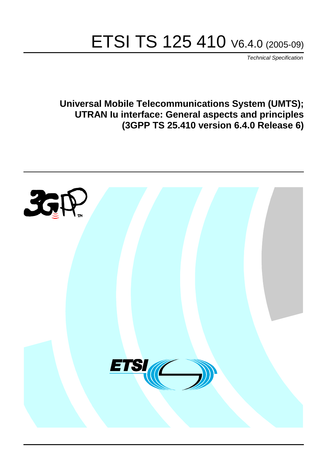# ETSI TS 125 410 V6.4.0 (2005-09)

Technical Specification

**Universal Mobile Telecommunications System (UMTS); UTRAN Iu interface: General aspects and principles (3GPP TS 25.410 version 6.4.0 Release 6)**

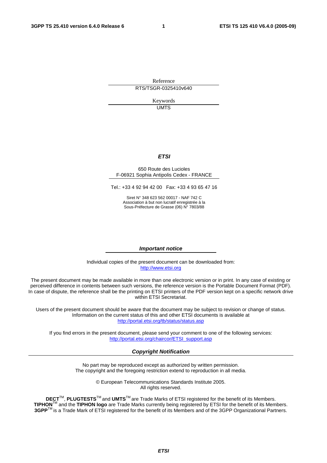Reference RTS/TSGR-0325410v640

> Keywords UMTS

#### **ETSI**

#### 650 Route des Lucioles F-06921 Sophia Antipolis Cedex - FRANCE

Tel.: +33 4 92 94 42 00 Fax: +33 4 93 65 47 16

Siret N° 348 623 562 00017 - NAF 742 C Association à but non lucratif enregistrée à la Sous-Préfecture de Grasse (06) N° 7803/88

#### **Important notice**

Individual copies of the present document can be downloaded from: [http://www.etsi.org](http://www.etsi.org/)

The present document may be made available in more than one electronic version or in print. In any case of existing or perceived difference in contents between such versions, the reference version is the Portable Document Format (PDF). In case of dispute, the reference shall be the printing on ETSI printers of the PDF version kept on a specific network drive within ETSI Secretariat.

Users of the present document should be aware that the document may be subject to revision or change of status. Information on the current status of this and other ETSI documents is available at <http://portal.etsi.org/tb/status/status.asp>

If you find errors in the present document, please send your comment to one of the following services: [http://portal.etsi.org/chaircor/ETSI\\_support.asp](http://portal.etsi.org/chaircor/ETSI_support.asp)

#### **Copyright Notification**

No part may be reproduced except as authorized by written permission. The copyright and the foregoing restriction extend to reproduction in all media.

> © European Telecommunications Standards Institute 2005. All rights reserved.

**DECT**TM, **PLUGTESTS**TM and **UMTS**TM are Trade Marks of ETSI registered for the benefit of its Members. **TIPHON**TM and the **TIPHON logo** are Trade Marks currently being registered by ETSI for the benefit of its Members. **3GPP**TM is a Trade Mark of ETSI registered for the benefit of its Members and of the 3GPP Organizational Partners.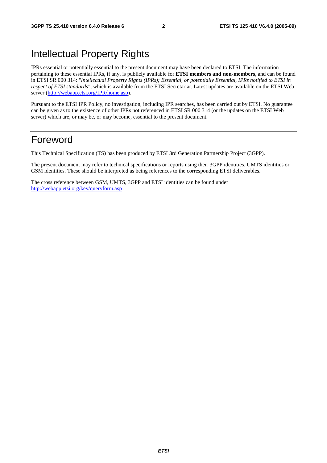## Intellectual Property Rights

IPRs essential or potentially essential to the present document may have been declared to ETSI. The information pertaining to these essential IPRs, if any, is publicly available for **ETSI members and non-members**, and can be found in ETSI SR 000 314: *"Intellectual Property Rights (IPRs); Essential, or potentially Essential, IPRs notified to ETSI in respect of ETSI standards"*, which is available from the ETSI Secretariat. Latest updates are available on the ETSI Web server ([http://webapp.etsi.org/IPR/home.asp\)](http://webapp.etsi.org/IPR/home.asp).

Pursuant to the ETSI IPR Policy, no investigation, including IPR searches, has been carried out by ETSI. No guarantee can be given as to the existence of other IPRs not referenced in ETSI SR 000 314 (or the updates on the ETSI Web server) which are, or may be, or may become, essential to the present document.

### Foreword

This Technical Specification (TS) has been produced by ETSI 3rd Generation Partnership Project (3GPP).

The present document may refer to technical specifications or reports using their 3GPP identities, UMTS identities or GSM identities. These should be interpreted as being references to the corresponding ETSI deliverables.

The cross reference between GSM, UMTS, 3GPP and ETSI identities can be found under <http://webapp.etsi.org/key/queryform.asp>.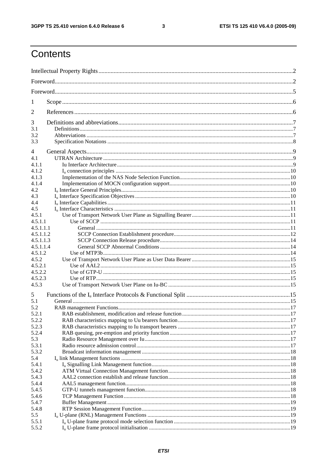$\mathbf{3}$ 

## Contents

| 1                    |  |  |  |  |  |
|----------------------|--|--|--|--|--|
| 2                    |  |  |  |  |  |
| 3                    |  |  |  |  |  |
| 3.1                  |  |  |  |  |  |
| 3.2<br>3.3           |  |  |  |  |  |
| 4                    |  |  |  |  |  |
| 4.1                  |  |  |  |  |  |
| 4.1.1                |  |  |  |  |  |
| 4.1.2                |  |  |  |  |  |
| 4.1.3                |  |  |  |  |  |
| 4.1.4                |  |  |  |  |  |
| 4.2                  |  |  |  |  |  |
| 4.3                  |  |  |  |  |  |
| 4.4                  |  |  |  |  |  |
| 4.5                  |  |  |  |  |  |
| 4.5.1                |  |  |  |  |  |
| 4.5.1.1<br>4.5.1.1.1 |  |  |  |  |  |
| 4.5.1.1.2            |  |  |  |  |  |
| 4.5.1.1.3            |  |  |  |  |  |
| 4.5.1.1.4            |  |  |  |  |  |
| 4.5.1.2              |  |  |  |  |  |
| 4.5.2                |  |  |  |  |  |
| 4.5.2.1              |  |  |  |  |  |
| 4.5.2.2              |  |  |  |  |  |
| 4.5.2.3              |  |  |  |  |  |
| 4.5.3                |  |  |  |  |  |
| 5                    |  |  |  |  |  |
| 5.1                  |  |  |  |  |  |
| 5.2<br>5.2.1         |  |  |  |  |  |
| 5.2.2                |  |  |  |  |  |
| 5.2.3                |  |  |  |  |  |
| 5.2.4                |  |  |  |  |  |
| 5.3                  |  |  |  |  |  |
| 5.3.1                |  |  |  |  |  |
| 5.3.2                |  |  |  |  |  |
| 5.4                  |  |  |  |  |  |
| 5.4.1                |  |  |  |  |  |
| 5.4.2                |  |  |  |  |  |
| 5.4.3                |  |  |  |  |  |
| 5.4.4                |  |  |  |  |  |
| 5.4.5                |  |  |  |  |  |
| 5.4.6                |  |  |  |  |  |
| 5.4.7                |  |  |  |  |  |
| 5.4.8                |  |  |  |  |  |
| 5.5                  |  |  |  |  |  |
| 5.5.1                |  |  |  |  |  |
| 5.5.2                |  |  |  |  |  |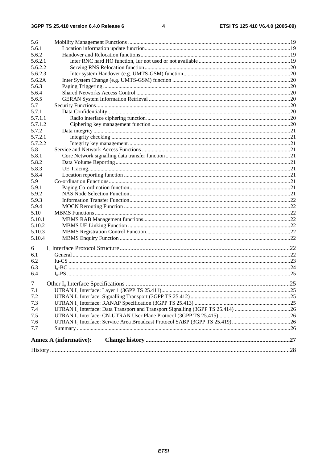| 5.6            |                               |  |  |  |  |  |  |
|----------------|-------------------------------|--|--|--|--|--|--|
| 5.6.1          |                               |  |  |  |  |  |  |
| 5.6.2          |                               |  |  |  |  |  |  |
| 5.6.2.1        |                               |  |  |  |  |  |  |
| 5.6.2.2        |                               |  |  |  |  |  |  |
| 5.6.2.3        |                               |  |  |  |  |  |  |
| 5.6.2A         |                               |  |  |  |  |  |  |
| 5.6.3          |                               |  |  |  |  |  |  |
| 5.6.4          |                               |  |  |  |  |  |  |
| 5.6.5          |                               |  |  |  |  |  |  |
| 5.7            |                               |  |  |  |  |  |  |
| 5.7.1          |                               |  |  |  |  |  |  |
| 5.7.1.1        |                               |  |  |  |  |  |  |
| 5.7.1.2        |                               |  |  |  |  |  |  |
| 5.7.2          |                               |  |  |  |  |  |  |
| 5.7.2.1        |                               |  |  |  |  |  |  |
| 5.7.2.2        |                               |  |  |  |  |  |  |
| 5.8            |                               |  |  |  |  |  |  |
| 5.8.1          |                               |  |  |  |  |  |  |
| 5.8.2          |                               |  |  |  |  |  |  |
| 5.8.3          |                               |  |  |  |  |  |  |
| 5.8.4          |                               |  |  |  |  |  |  |
| 5.9            |                               |  |  |  |  |  |  |
| 5.9.1          |                               |  |  |  |  |  |  |
| 5.9.2          |                               |  |  |  |  |  |  |
| 5.9.3          |                               |  |  |  |  |  |  |
| 5.9.4          |                               |  |  |  |  |  |  |
| 5.10           |                               |  |  |  |  |  |  |
| 5.10.1         |                               |  |  |  |  |  |  |
| 5.10.2         |                               |  |  |  |  |  |  |
| 5.10.3         |                               |  |  |  |  |  |  |
| 5.10.4         |                               |  |  |  |  |  |  |
|                |                               |  |  |  |  |  |  |
| 6              |                               |  |  |  |  |  |  |
| 6.1            |                               |  |  |  |  |  |  |
| 6.2            |                               |  |  |  |  |  |  |
| 6.3            |                               |  |  |  |  |  |  |
| 6.4            |                               |  |  |  |  |  |  |
| $\overline{7}$ |                               |  |  |  |  |  |  |
| 7.1            |                               |  |  |  |  |  |  |
| 7.2            |                               |  |  |  |  |  |  |
| 7.3            |                               |  |  |  |  |  |  |
| 7.4            |                               |  |  |  |  |  |  |
| 7.5            |                               |  |  |  |  |  |  |
| 7.6            |                               |  |  |  |  |  |  |
| 7.7            |                               |  |  |  |  |  |  |
|                |                               |  |  |  |  |  |  |
|                | <b>Annex A (informative):</b> |  |  |  |  |  |  |
|                |                               |  |  |  |  |  |  |
|                |                               |  |  |  |  |  |  |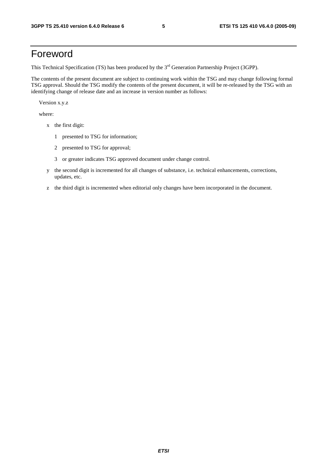## Foreword

This Technical Specification (TS) has been produced by the 3<sup>rd</sup> Generation Partnership Project (3GPP).

The contents of the present document are subject to continuing work within the TSG and may change following formal TSG approval. Should the TSG modify the contents of the present document, it will be re-released by the TSG with an identifying change of release date and an increase in version number as follows:

Version x.y.z

where:

- x the first digit:
	- 1 presented to TSG for information;
	- 2 presented to TSG for approval;
	- 3 or greater indicates TSG approved document under change control.
- y the second digit is incremented for all changes of substance, i.e. technical enhancements, corrections, updates, etc.
- z the third digit is incremented when editorial only changes have been incorporated in the document.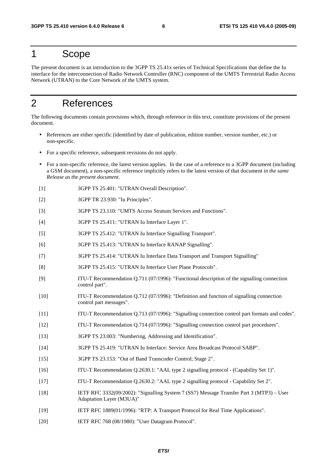### 1 Scope

The present document is an introduction to the 3GPP TS 25.41x series of Technical Specifications that define the Iu interface for the interconnection of Radio Network Controller (RNC) component of the UMTS Terrestrial Radio Access Network (UTRAN) to the Core Network of the UMTS system.

## 2 References

The following documents contain provisions which, through reference in this text, constitute provisions of the present document.

- References are either specific (identified by date of publication, edition number, version number, etc.) or non-specific.
- For a specific reference, subsequent revisions do not apply.
- For a non-specific reference, the latest version applies. In the case of a reference to a 3GPP document (including a GSM document), a non-specific reference implicitly refers to the latest version of that document *in the same Release as the present document*.
- [1] 3GPP TS 25.401: "UTRAN Overall Description".
- [2] 3GPP TR 23.930: "Iu Principles".
- [3] 3GPP TS 23.110: "UMTS Access Stratum Services and Functions".
- [4] 3GPP TS 25.411: "UTRAN Iu Interface Layer 1".
- [5] 3GPP TS 25.412: "UTRAN Iu Interface Signalling Transport".
- [6] 3GPP TS 25.413: "UTRAN Iu Interface RANAP Signalling".
- [7] 3GPP TS 25.414: "UTRAN Iu Interface Data Transport and Transport Signalling"
- [8] 3GPP TS 25.415: "UTRAN Iu Interface User Plane Protocols".
- [9] ITU-T Recommendation Q.711 (07/1996): "Functional description of the signalling connection control part".
- [10] ITU-T Recommendation Q.712 (07/1996): "Definition and function of signalling connection control part messages".
- [11] ITU-T Recommendation Q.713 (07/1996): "Signalling connection control part formats and codes".
- [12] ITU-T Recommendation Q.714 (07/1996): "Signalling connection control part procedures".
- [13] 3GPP TS 23.003: "Numbering, Addressing and Identification".
- [14] 3GPP TS 25.419: "UTRAN Iu Interface: Service Area Broadcast Protocol SABP".
- [15] 3GPP TS 23.153: "Out of Band Transcoder Control; Stage 2".
- [16] ITU-T Recommendation Q.2630.1: "AAL type 2 signalling protocol (Capability Set 1)".
- [17] ITU-T Recommendation Q.2630.2: "AAL type 2 signalling protocol Capability Set 2".
- [18] IETF RFC 3332(09/2002): "Signalling System 7 (SS7) Message Transfer Part 3 (MTP3) User Adaptation Layer (M3UA)"
- [19] IETF RFC 1889(01/1996): "RTP: A Transport Protocol for Real Time Applications".
- [20] IETF RFC 768 (08/1980): "User Datagram Protocol".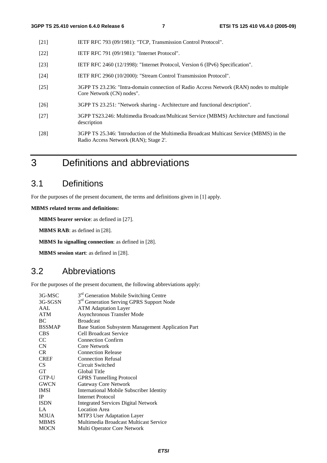- [21] IETF RFC 793 (09/1981): "TCP, Transmission Control Protocol".
- [22] **IETF RFC 791 (09/1981): "Internet Protocol".**
- [23] IETF RFC 2460 (12/1998): "Internet Protocol, Version 6 (IPv6) Specification".
- [24] IETF RFC 2960 (10/2000): "Stream Control Transmission Protocol".
- [25] 3GPP TS 23.236: "Intra-domain connection of Radio Access Network (RAN) nodes to multiple Core Network (CN) nodes".
- [26] 3GPP TS 23.251: "Network sharing Architecture and functional description".
- [27] 3GPP TS23.246: Multimedia Broadcast/Multicast Service (MBMS) Architecture and functional description
- [28] 3GPP TS 25.346: 'Introduction of the Multimedia Broadcast Multicast Service (MBMS) in the Radio Access Network (RAN); Stage 2'.
- 3 Definitions and abbreviations

### 3.1 Definitions

For the purposes of the present document, the terms and definitions given in [1] apply.

**MBMS related terms and definitions:** 

**MBMS bearer service**: as defined in [27].

**MBMS RAB**: as defined in [28].

**MBMS Iu signalling connection**: as defined in [28].

**MBMS session start**: as defined in [28].

### 3.2 Abbreviations

For the purposes of the present document, the following abbreviations apply:

| 3G-MSC          | 3 <sup>rd</sup> Generation Mobile Switching Centre   |
|-----------------|------------------------------------------------------|
| 3G-SGSN         | 3 <sup>rd</sup> Generation Serving GPRS Support Node |
| AAL             | <b>ATM Adaptation Layer</b>                          |
| <b>ATM</b>      | <b>Asynchronous Transfer Mode</b>                    |
| BC              | <b>Broadcast</b>                                     |
| <b>BSSMAP</b>   | Base Station Subsystem Management Application Part   |
| <b>CBS</b>      | Cell Broadcast Service                               |
| CC              | <b>Connection Confirm</b>                            |
| CN              | Core Network                                         |
| C <sub>R</sub>  | <b>Connection Release</b>                            |
| <b>CREF</b>     | <b>Connection Refusal</b>                            |
| CS <sup>-</sup> | Circuit Switched                                     |
| <b>GT</b>       | Global Title                                         |
| GTP-U           | <b>GPRS</b> Tunnelling Protocol                      |
| <b>GWCN</b>     | Gateway Core Network                                 |
| <b>IMSI</b>     | <b>International Mobile Subscriber Identity</b>      |
| IP              | Internet Protocol                                    |
| <b>ISDN</b>     | <b>Integrated Services Digital Network</b>           |
| LA              | <b>Location Area</b>                                 |
| M3UA            | MTP3 User Adaptation Layer                           |
| <b>MBMS</b>     | Multimedia Broadcast Multicast Service               |
| <b>MOCN</b>     | Multi Operator Core Network                          |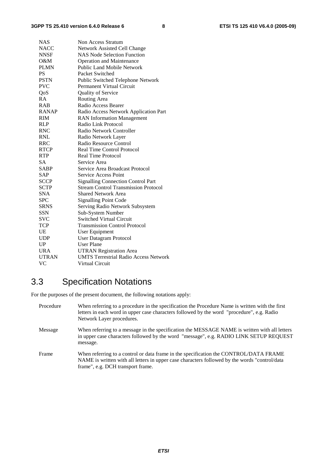| <b>NAS</b>   | Non Access Stratum                           |
|--------------|----------------------------------------------|
| <b>NACC</b>  | Network Assisted Cell Change                 |
| <b>NNSF</b>  | <b>NAS Node Selection Function</b>           |
| O&M          | <b>Operation and Maintenance</b>             |
| <b>PLMN</b>  | Public Land Mobile Network                   |
| <b>PS</b>    | Packet Switched                              |
| <b>PSTN</b>  | Public Switched Telephone Network            |
| <b>PVC</b>   | Permanent Virtual Circuit                    |
| QoS          | Quality of Service                           |
| RA           | Routing Area                                 |
| <b>RAB</b>   | Radio Access Bearer                          |
| <b>RANAP</b> | Radio Access Network Application Part        |
| <b>RIM</b>   | <b>RAN</b> Information Management            |
| RLP          | Radio Link Protocol                          |
| <b>RNC</b>   | Radio Network Controller                     |
| <b>RNL</b>   | Radio Network Layer                          |
| RRC          | Radio Resource Control                       |
| <b>RTCP</b>  | <b>Real Time Control Protocol</b>            |
| <b>RTP</b>   | <b>Real Time Protocol</b>                    |
| <b>SA</b>    | Service Area                                 |
| <b>SABP</b>  | Service Area Broadcast Protocol              |
| <b>SAP</b>   | <b>Service Access Point</b>                  |
| <b>SCCP</b>  | <b>Signalling Connection Control Part</b>    |
| <b>SCTP</b>  | <b>Stream Control Transmission Protocol</b>  |
| <b>SNA</b>   | <b>Shared Network Area</b>                   |
| <b>SPC</b>   | <b>Signalling Point Code</b>                 |
| <b>SRNS</b>  | Serving Radio Network Subsystem              |
| <b>SSN</b>   | Sub-System Number                            |
| SVC          | <b>Switched Virtual Circuit</b>              |
| <b>TCP</b>   | <b>Transmission Control Protocol</b>         |
| UE           | User Equipment                               |
| <b>UDP</b>   | User Datagram Protocol                       |
| UP           | <b>User Plane</b>                            |
| <b>URA</b>   | <b>UTRAN Registration Area</b>               |
| <b>UTRAN</b> | <b>UMTS Terrestrial Radio Access Network</b> |
| VC           | Virtual Circuit                              |

## 3.3 Specification Notations

For the purposes of the present document, the following notations apply:

| Procedure | When referring to a procedure in the specification the Procedure Name is written with the first<br>letters in each word in upper case characters followed by the word "procedure", e.g. Radio<br>Network Layer procedures.   |
|-----------|------------------------------------------------------------------------------------------------------------------------------------------------------------------------------------------------------------------------------|
| Message   | When referring to a message in the specification the MESSAGE NAME is written with all letters<br>in upper case characters followed by the word "message", e.g. RADIO LINK SETUP REQUEST<br>message.                          |
| Frame     | When referring to a control or data frame in the specification the CONTROL/DATA FRAME<br>NAME is written with all letters in upper case characters followed by the words "control/data"<br>frame", e.g. DCH transport frame. |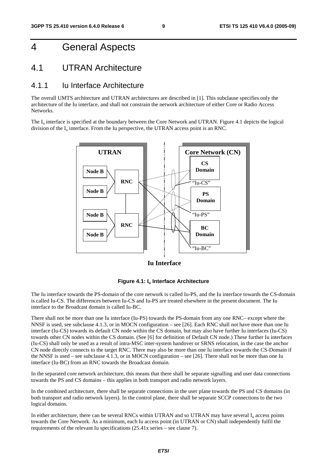## 4 General Aspects

#### 4.1 UTRAN Architecture

#### 4.1.1 Iu Interface Architecture

The overall UMTS architecture and UTRAN architectures are described in [1]. This subclause specifies only the architecture of the Iu interface, and shall not constrain the network architecture of either Core or Radio Access Networks.

The  $I_{\text{u}}$  interface is specified at the boundary between the Core Network and UTRAN. Figure 4.1 depicts the logical division of the  $I_u$  interface. From the Iu perspective, the UTRAN access point is an RNC.



**Iu Interface**



The Iu interface towards the PS-domain of the core network is called Iu-PS, and the Iu interface towards the CS-domain is called Iu-CS. The differences between Iu-CS and Iu-PS are treated elsewhere in the present document. The Iu interface to the Broadcast domain is called Iu-BC.

There shall not be more than one Iu interface (Iu-PS) towards the PS-domain from any one RNC– except where the NNSF is used, see subclause 4.1.3, or in MOCN configuration – see [26]. Each RNC shall not have more than one Iu interface (Iu-CS) towards its default CN node within the CS domain, but may also have further Iu interfaces (Iu-CS) towards other CN nodes within the CS domain. (See [6] for definition of Default CN node.) These further Iu interfaces (Iu-CS) shall only be used as a result of intra-MSC inter-system handover or SRNS relocation, in the case the anchor CN node directly connects to the target RNC. There may also be more than one Iu interface towards the CS-Domain if the NNSF is used – see subclause 4.1.3, or in MOCN configuration – see [26]. There shall not be more than one Iu interface (Iu-BC) from an RNC towards the Broadcast domain.

In the separated core network architecture, this means that there shall be separate signalling and user data connections towards the PS and CS domains – this applies in both transport and radio network layers.

In the combined architecture, there shall be separate connections in the user plane towards the PS and CS domains (in both transport and radio network layers). In the control plane, there shall be separate SCCP connections to the two logical domains.

In either architecture, there can be several RNCs within UTRAN and so UTRAN may have several  $I<sub>u</sub>$  access points towards the Core Network. As a minimum, each Iu access point (in UTRAN or CN) shall independently fulfil the requirements of the relevant Iu specifications (25.41x series – see clause 7).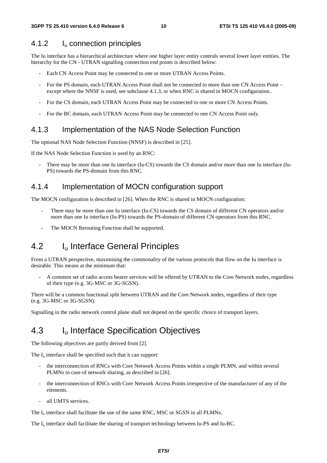#### 4.1.2 Iu connection principles

The Iu interface has a hierarchical architecture where one higher layer entity controls several lower layer entities. The hierarchy for the CN - UTRAN signalling connection end points is described below:

- Each CN Access Point may be connected to one or more UTRAN Access Points.
- For the PS domain, each UTRAN Access Point shall not be connected to more than one CN Access Point except where the NNSF is used, see subclause 4.1.3, or when RNC is shared in MOCN configuration..
- For the CS domain, each UTRAN Access Point may be connected to one or more CN Access Points.
- For the BC domain, each UTRAN Access Point may be connected to one CN Access Point only.

#### 4.1.3 Implementation of the NAS Node Selection Function

The optional NAS Node Selection Function (NNSF) is described in [25].

If the NAS Node Selection Function is used by an RNC:

There may be more than one Iu interface (Iu-CS) towards the CS domain and/or more than one Iu interface (Iu-PS) towards the PS-domain from this RNC.

#### 4.1.4 Implementation of MOCN configuration support

The MOCN configuration is described in [26]. When the RNC is shared in MOCN configuration:

- There may be more than one Iu interface (Iu-CS) towards the CS domain of different CN operators and/or more than one Iu interface (Iu-PS) towards the PS-domain of different CN operators from this RNC.
- The MOCN Rerouting Function shall be supported.

### 4.2 I<sub>u</sub> Interface General Principles

From a UTRAN perspective, maximising the commonality of the various protocols that flow on the Iu interface is desirable. This means at the minimum that:

- A common set of radio access bearer services will be offered by UTRAN to the Core Network nodes, regardless of their type (e.g. 3G-MSC or 3G-SGSN).

There will be a common functional split between UTRAN and the Core Network nodes, regardless of their type (e.g. 3G-MSC or 3G-SGSN).

Signalling in the radio network control plane shall not depend on the specific choice of transport layers.

### 4.3 I<sub>u</sub> Interface Specification Objectives

The following objectives are partly derived from [2].

The  $I_{\nu}$  interface shall be specified such that it can support:

- the interconnection of RNCs with Core Network Access Points within a single PLMN, and within several PLMNs in case of network sharing, as described in [26].
- the interconnection of RNCs with Core Network Access Points irrespective of the manufacturer of any of the elements.
- all UMTS services.

The  $I<sub>u</sub>$  interface shall facilitate the use of the same RNC, MSC or SGSN in all PLMNs.

The I<sub>u</sub> interface shall facilitate the sharing of transport technology between Iu-PS and Iu-BC.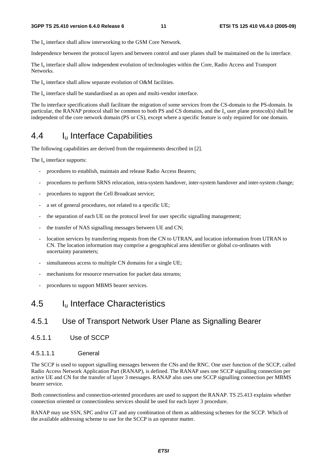The  $I_{\text{u}}$  interface shall allow interworking to the GSM Core Network.

Independence between the protocol layers and between control and user planes shall be maintained on the Iu interface.

The I<sub>u</sub> interface shall allow independent evolution of technologies within the Core, Radio Access and Transport Networks.

The  $I_u$  interface shall allow separate evolution of O&M facilities.

The  $I_{\text{u}}$  interface shall be standardised as an open and multi-vendor interface.

The Iu interface specifications shall facilitate the migration of some services from the CS-domain to the PS-domain. In particular, the RANAP protocol shall be common to both PS and CS domains, and the  $I<sub>u</sub>$  user plane protocol(s) shall be independent of the core network domain (PS or CS), except where a specific feature is only required for one domain.

### 4.4 Iu Interface Capabilities

The following capabilities are derived from the requirements described in [2].

The  $I_{\text{u}}$  interface supports:

- procedures to establish, maintain and release Radio Access Bearers;
- procedures to perform SRNS relocation, intra-system handover, inter-system handover and inter-system change;
- procedures to support the Cell Broadcast service;
- a set of general procedures, not related to a specific UE;
- the separation of each UE on the protocol level for user specific signalling management;
- the transfer of NAS signalling messages between UE and CN;
- location services by transferring requests from the CN to UTRAN, and location information from UTRAN to CN. The location information may comprise a geographical area identifier or global co-ordinates with uncertainty parameters;
- simultaneous access to multiple CN domains for a single UE;
- mechanisms for resource reservation for packet data streams;
- procedures to support MBMS bearer services.

#### 4.5 Iu Interface Characteristics

#### 4.5.1 Use of Transport Network User Plane as Signalling Bearer

4.5.1.1 Use of SCCP

#### 4.5.1.1.1 General

The SCCP is used to support signalling messages between the CNs and the RNC. One user function of the SCCP, called Radio Access Network Application Part (RANAP), is defined. The RANAP uses one SCCP signalling connection per active UE and CN for the transfer of layer 3 messages. RANAP also uses one SCCP signalling connection per MBMS bearer service.

Both connectionless and connection-oriented procedures are used to support the RANAP. TS 25.413 explains whether connection oriented or connectionless services should be used for each layer 3 procedure.

RANAP may use SSN, SPC and/or GT and any combination of them as addressing schemes for the SCCP. Which of the available addressing scheme to use for the SCCP is an operator matter.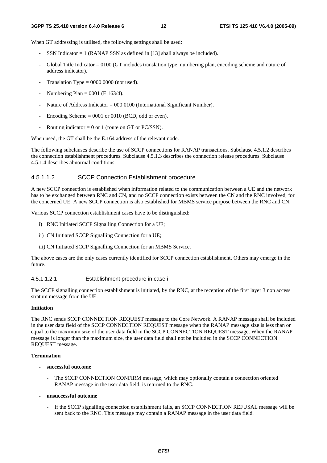#### **3GPP TS 25.410 version 6.4.0 Release 6 12 ETSI TS 125 410 V6.4.0 (2005-09)**

When GT addressing is utilised, the following settings shall be used:

- SSN Indicator  $= 1$  (RANAP SSN as defined in [13] shall always be included).
- Global Title Indicator  $= 0100$  (GT includes translation type, numbering plan, encoding scheme and nature of address indicator).
- Translation Type =  $0000 0000$  (not used).
- Numbering Plan =  $0001$  (E.163/4).
- Nature of Address Indicator = 000 0100 (International Significant Number).
- Encoding Scheme  $= 0001$  or 0010 (BCD, odd or even).
- Routing indicator = 0 or 1 (route on GT or PC/SSN).

When used, the GT shall be the E.164 address of the relevant node.

The following subclauses describe the use of SCCP connections for RANAP transactions. Subclause 4.5.1.2 describes the connection establishment procedures. Subclause 4.5.1.3 describes the connection release procedures. Subclause 4.5.1.4 describes abnormal conditions.

#### 4.5.1.1.2 SCCP Connection Establishment procedure

A new SCCP connection is established when information related to the communication between a UE and the network has to be exchanged between RNC and CN, and no SCCP connection exists between the CN and the RNC involved, for the concerned UE. A new SCCP connection is also established for MBMS service purpose between the RNC and CN.

Various SCCP connection establishment cases have to be distinguished:

- i) RNC Initiated SCCP Signalling Connection for a UE;
- ii) CN Initiated SCCP Signalling Connection for a UE;
- iii) CN Initiated SCCP Signalling Connection for an MBMS Service.

The above cases are the only cases currently identified for SCCP connection establishment. Others may emerge in the future.

#### 4.5.1.1.2.1 Establishment procedure in case i

The SCCP signalling connection establishment is initiated, by the RNC, at the reception of the first layer 3 non access stratum message from the UE.

#### **Initiation**

The RNC sends SCCP CONNECTION REQUEST message to the Core Network. A RANAP message shall be included in the user data field of the SCCP CONNECTION REQUEST message when the RANAP message size is less than or equal to the maximum size of the user data field in the SCCP CONNECTION REQUEST message. When the RANAP message is longer than the maximum size, the user data field shall not be included in the SCCP CONNECTION REQUEST message.

#### **Termination**

- **successful outcome** 
	- The SCCP CONNECTION CONFIRM message, which may optionally contain a connection oriented RANAP message in the user data field, is returned to the RNC.
- **unsuccessful outcome** 
	- If the SCCP signalling connection establishment fails, an SCCP CONNECTION REFUSAL message will be sent back to the RNC. This message may contain a RANAP message in the user data field.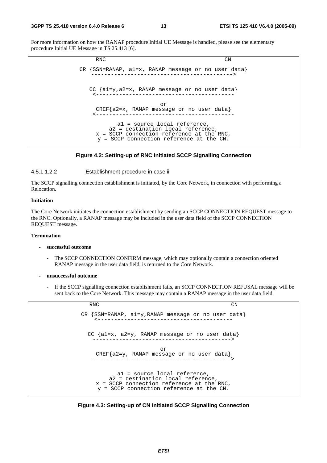#### **3GPP TS 25.410 version 6.4.0 Release 6 13 ETSI TS 125 410 V6.4.0 (2005-09)**

For more information on how the RANAP procedure Initial UE Message is handled, please see the elementary procedure Initial UE Message in TS 25.413 [6].



#### **Figure 4.2: Setting-up of RNC Initiated SCCP Signalling Connection**

#### 4.5.1.1.2.2 Establishment procedure in case ii

The SCCP signalling connection establishment is initiated, by the Core Network, in connection with performing a Relocation.

#### **Initiation**

The Core Network initiates the connection establishment by sending an SCCP CONNECTION REQUEST message to the RNC. Optionally, a RANAP message may be included in the user data field of the SCCP CONNECTION REQUEST message.

#### **Termination**

#### **- successful outcome**

- The SCCP CONNECTION CONFIRM message, which may optionally contain a connection oriented RANAP message in the user data field, is returned to the Core Network.
- **unsuccessful outcome** 
	- If the SCCP signalling connection establishment fails, an SCCP CONNECTION REFUSAL message will be sent back to the Core Network. This message may contain a RANAP message in the user data field.

| <b>RNC</b>                                                                                                                                                        | CΝ |
|-------------------------------------------------------------------------------------------------------------------------------------------------------------------|----|
| CR $\{SSN=RANAP, a1=y, RANAP message or no user data\}$                                                                                                           |    |
| CC $\{a1=x, a2=y, RANAP message or no user data\}$                                                                                                                |    |
| or<br>CREF{a2=y, RANAP message or no user data}                                                                                                                   |    |
| al = source local reference,<br>a2 = destination local reference,<br>$x = SCCP$ connection reference at the RNC,<br>$y = SCCP$ connection reference at the $CN$ . |    |

**Figure 4.3: Setting-up of CN Initiated SCCP Signalling Connection**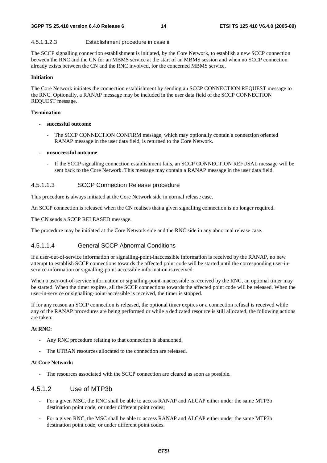#### 4.5.1.1.2.3 Establishment procedure in case iii

The SCCP signalling connection establishment is initiated, by the Core Network, to establish a new SCCP connection between the RNC and the CN for an MBMS service at the start of an MBMS session and when no SCCP connection already exists between the CN and the RNC involved, for the concerned MBMS service.

#### **Initiation**

The Core Network initiates the connection establishment by sending an SCCP CONNECTION REQUEST message to the RNC. Optionally, a RANAP message may be included in the user data field of the SCCP CONNECTION REQUEST message.

#### **Termination**

- **successful outcome** 
	- The SCCP CONNECTION CONFIRM message, which may optionally contain a connection oriented RANAP message in the user data field, is returned to the Core Network.
- **unsuccessful outcome** 
	- If the SCCP signalling connection establishment fails, an SCCP CONNECTION REFUSAL message will be sent back to the Core Network. This message may contain a RANAP message in the user data field.

#### 4.5.1.1.3 SCCP Connection Release procedure

This procedure is always initiated at the Core Network side in normal release case.

An SCCP connection is released when the CN realises that a given signalling connection is no longer required.

The CN sends a SCCP RELEASED message.

The procedure may be initiated at the Core Network side and the RNC side in any abnormal release case.

#### 4.5.1.1.4 General SCCP Abnormal Conditions

If a user-out-of-service information or signalling-point-inaccessible information is received by the RANAP, no new attempt to establish SCCP connections towards the affected point code will be started until the corresponding user-inservice information or signalling-point-accessible information is received.

When a user-out-of-service information or signalling-point-inaccessible is received by the RNC, an optional timer may be started. When the timer expires, all the SCCP connections towards the affected point code will be released. When the user-in-service or signalling-point-accessible is received, the timer is stopped.

If for any reason an SCCP connection is released, the optional timer expires or a connection refusal is received while any of the RANAP procedures are being performed or while a dedicated resource is still allocated, the following actions are taken:

#### **At RNC:**

- Any RNC procedure relating to that connection is abandoned.
- The UTRAN resources allocated to the connection are released.

#### **At Core Network:**

The resources associated with the SCCP connection are cleared as soon as possible.

#### 4.5.1.2 Use of MTP3b

- For a given MSC, the RNC shall be able to access RANAP and ALCAP either under the same MTP3b destination point code, or under different point codes;
- For a given RNC, the MSC shall be able to access RANAP and ALCAP either under the same MTP3b destination point code, or under different point codes.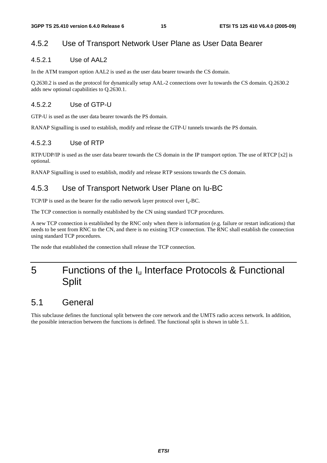#### 4.5.2 Use of Transport Network User Plane as User Data Bearer

#### 4.5.2.1 Use of AAL2

In the ATM transport option AAL2 is used as the user data bearer towards the CS domain.

Q.2630.2 is used as the protocol for dynamically setup AAL-2 connections over Iu towards the CS domain. Q.2630.2 adds new optional capabilities to Q.2630.1.

#### 4.5.2.2 Use of GTP-U

GTP-U is used as the user data bearer towards the PS domain.

RANAP Signalling is used to establish, modify and release the GTP-U tunnels towards the PS domain.

#### 4.5.2.3 Use of RTP

RTP/UDP/IP is used as the user data bearer towards the CS domain in the IP transport option. The use of RTCP [x2] is optional.

RANAP Signalling is used to establish, modify and release RTP sessions towards the CS domain.

#### 4.5.3 Use of Transport Network User Plane on Iu-BC

TCP/IP is used as the bearer for the radio network layer protocol over  $I_u$ -BC.

The TCP connection is normally established by the CN using standard TCP procedures.

A new TCP connection is established by the RNC only when there is information (e.g. failure or restart indications) that needs to be sent from RNC to the CN, and there is no existing TCP connection. The RNC shall establish the connection using standard TCP procedures.

The node that established the connection shall release the TCP connection.

## 5 Functions of the  $I_u$  Interface Protocols & Functional **Split**

### 5.1 General

This subclause defines the functional split between the core network and the UMTS radio access network. In addition, the possible interaction between the functions is defined. The functional split is shown in table 5.1.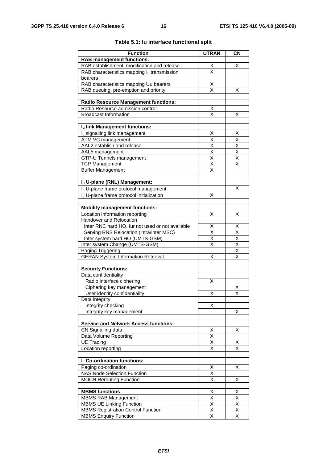| <b>Function</b>                                                                  | <b>UTRAN</b>                        | <b>CN</b>                           |
|----------------------------------------------------------------------------------|-------------------------------------|-------------------------------------|
| <b>RAB management functions:</b>                                                 |                                     |                                     |
| RAB establishment, modification and release                                      |                                     | X                                   |
| RAB characteristics mapping $I_u$ transmission                                   | $\frac{x}{x}$                       |                                     |
| bearers                                                                          |                                     |                                     |
| RAB characteristics mapping Uu bearers                                           | $\frac{\mathsf{X}}{\mathsf{X}}$     |                                     |
| RAB queuing, pre-emption and priority                                            |                                     | X                                   |
|                                                                                  |                                     |                                     |
| <b>Radio Resource Management functions:</b>                                      |                                     |                                     |
| Radio Resource admission control                                                 | Χ                                   |                                     |
| <b>Broadcast Information</b>                                                     | X                                   | х                                   |
| Iu link Management functions:                                                    |                                     |                                     |
| I <sub>u</sub> signalling link management                                        | х                                   | X                                   |
| ATM VC management                                                                | $\overline{\mathsf{x}}$             | $\overline{\mathsf{x}}$             |
| AAL2 establish and release                                                       | $\frac{\overline{x}}{\overline{x}}$ | $\frac{\overline{x}}{\overline{x}}$ |
| AAL5 management                                                                  |                                     |                                     |
| GTP-U Tunnels management                                                         | $\overline{\mathsf{x}}$             | $\overline{\mathsf{x}}$             |
| <b>TCP Management</b>                                                            | $\overline{\mathsf{x}}$             | X                                   |
| <b>Buffer Management</b>                                                         | X                                   |                                     |
|                                                                                  |                                     |                                     |
| Iu U-plane (RNL) Management:<br>I <sub>u</sub> U-plane frame protocol management |                                     | х                                   |
|                                                                                  | X                                   |                                     |
| I <sub>u</sub> U-plane frame protocol initialization                             |                                     |                                     |
| <b>Mobility management functions:</b>                                            |                                     |                                     |
| Location information reporting                                                   | х                                   | х                                   |
| <b>Handover and Relocation</b>                                                   |                                     |                                     |
| Inter RNC hard HO, lur not used or not available                                 | Χ                                   | Χ                                   |
| Serving RNS Relocation (intra/inter MSC)                                         | $\overline{\mathsf{x}}$             | $\overline{\mathsf{x}}$             |
| Inter system hard HO (UMTS-GSM)                                                  | X                                   | $\overline{\mathsf{x}}$             |
| Inter system Change (UMTS-GSM)                                                   | X                                   | $\overline{\mathsf{x}}$             |
| Paging Triggering                                                                |                                     | $\overline{\mathsf{x}}$             |
| <b>GERAN System Information Retrieval</b>                                        | Χ                                   | $\overline{\mathsf{x}}$             |
| <b>Security Functions:</b>                                                       |                                     |                                     |
| Data confidentiality                                                             |                                     |                                     |
| Radio interface ciphering                                                        | Х                                   |                                     |
| Ciphering key management                                                         |                                     | Χ                                   |
| User identity confidentiality                                                    | х                                   | X                                   |
| Data integrity                                                                   |                                     |                                     |
| Integrity checking                                                               | Χ                                   |                                     |
| Integrity key management                                                         |                                     | Χ                                   |
| <b>Service and Network Access functions:</b>                                     |                                     |                                     |
| CN Signalling data                                                               | Χ                                   | Χ                                   |
| Data Volume Reporting                                                            | $\overline{\mathsf{x}}$             |                                     |
| <b>UE Tracing</b>                                                                | X                                   | х                                   |
| Location reporting                                                               | X                                   | X                                   |
|                                                                                  |                                     |                                     |
| I <sub>u</sub> Co-ordination functions:                                          |                                     |                                     |
| Paging co-ordination                                                             | х                                   | Χ                                   |
| <b>NAS Node Selection Function</b>                                               | X                                   |                                     |
| <b>MOCN Rerouting Function</b>                                                   | $\overline{\mathsf{x}}$             | Χ                                   |
| <b>MBMS</b> functions                                                            | х                                   | х                                   |
| <b>MBMS RAB Management</b>                                                       | $\overline{\mathsf{x}}$             | $\overline{\mathsf{x}}$             |
| <b>MBMS UE Linking Function</b>                                                  | X                                   | X                                   |
| <b>MBMS Registration Control Function</b>                                        | Χ                                   | Χ                                   |
| <b>MBMS Enquiry Function</b>                                                     | $\overline{\mathsf{x}}$             | $\overline{\mathsf{x}}$             |

#### **Table 5.1: Iu interface functional split**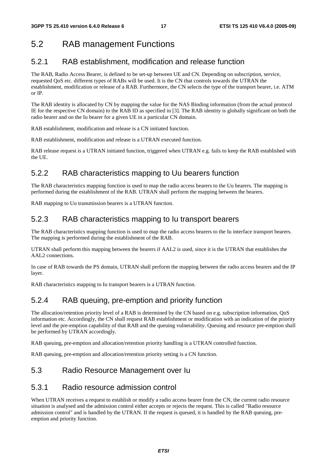## 5.2 RAB management Functions

#### 5.2.1 RAB establishment, modification and release function

The RAB, Radio Access Bearer, is defined to be set-up between UE and CN. Depending on subscription, service, requested QoS etc. different types of RABs will be used. It is the CN that controls towards the UTRAN the establishment, modification or release of a RAB. Furthermore, the CN selects the type of the transport bearer, i.e. ATM or IP.

The RAB identity is allocated by CN by mapping the value for the NAS Binding information (from the actual protocol IE for the respective CN domain) to the RAB ID as specified in [3]. The RAB identity is globally significant on both the radio bearer and on the Iu bearer for a given UE in a particular CN domain.

RAB establishment, modification and release is a CN initiated function.

RAB establishment, modification and release is a UTRAN executed function.

RAB release request is a UTRAN initiated function, triggered when UTRAN e.g. fails to keep the RAB established with the UE.

### 5.2.2 RAB characteristics mapping to Uu bearers function

The RAB characteristics mapping function is used to map the radio access bearers to the Uu bearers. The mapping is performed during the establishment of the RAB. UTRAN shall perform the mapping between the bearers.

RAB mapping to Uu transmission bearers is a UTRAN function.

#### 5.2.3 RAB characteristics mapping to Iu transport bearers

The RAB characteristics mapping function is used to map the radio access bearers to the Iu interface transport bearers. The mapping is performed during the establishment of the RAB.

UTRAN shall perform this mapping between the bearers if AAL2 is used, since it is the UTRAN that establishes the AAL2 connections.

In case of RAB towards the PS domain, UTRAN shall perform the mapping between the radio access bearers and the IP layer.

RAB characteristics mapping to Iu transport bearers is a UTRAN function.

#### 5.2.4 RAB queuing, pre-emption and priority function

The allocation/retention priority level of a RAB is determined by the CN based on e.g. subscription information, QoS information etc. Accordingly, the CN shall request RAB establishment or modification with an indication of the priority level and the pre-emption capability of that RAB and the queuing vulnerability. Queuing and resource pre-emption shall be performed by UTRAN accordingly.

RAB queuing, pre-emption and allocation/retention priority handling is a UTRAN controlled function.

RAB queuing, pre-emption and allocation/retention priority setting is a CN function.

#### 5.3 Radio Resource Management over Iu

#### 5.3.1 Radio resource admission control

When UTRAN receives a request to establish or modify a radio access bearer from the CN, the current radio resource situation is analysed and the admission control either accepts or rejects the request. This is called "Radio resource admission control" and is handled by the UTRAN. If the request is queued, it is handled by the RAB queuing, preemption and priority function.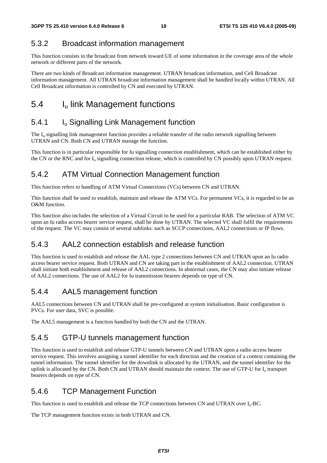#### 5.3.2 Broadcast information management

This function consists in the broadcast from network toward UE of some information in the coverage area of the whole network or different parts of the network.

There are two kinds of Broadcast information management. UTRAN broadcast information, and Cell Broadcast information management. All UTRAN broadcast information management shall be handled locally within UTRAN. All Cell Broadcast information is controlled by CN and executed by UTRAN.

## 5.4 I<sub>u</sub> link Management functions

### 5.4.1 **I**<sub>u</sub> Signalling Link Management function

The I<sub>u</sub> signalling link management function provides a reliable transfer of the radio network signalling between UTRAN and CN. Both CN and UTRAN manage the function.

This function is in particular responsible for Iu signalling connection establishment, which can be established either by the CN or the RNC and for  $I_u$  signalling connection release, which is controlled by CN possibly upon UTRAN request.

#### 5.4.2 ATM Virtual Connection Management function

This function refers to handling of ATM Virtual Connections (VCs) between CN and UTRAN.

This function shall be used to establish, maintain and release the ATM VCs. For permanent VCs, it is regarded to be an O&M function.

This function also includes the selection of a Virtual Circuit to be used for a particular RAB. The selection of ATM VC upon an Iu radio access bearer service request, shall be done by UTRAN. The selected VC shall fulfil the requirements of the request. The VC may consist of several sublinks: such as SCCP connections, AAL2 connections or IP flows.

### 5.4.3 AAL2 connection establish and release function

This function is used to establish and release the AAL type 2 connections between CN and UTRAN upon an Iu radio access bearer service request. Both UTRAN and CN are taking part in the establishment of AAL2 connection. UTRAN shall initiate both establishment and release of AAL2 connections. In abnormal cases, the CN may also initiate release of AAL2 connections. The use of AAL2 for Iu transmission bearers depends on type of CN.

#### 5.4.4 AAL5 management function

AAL5 connections between CN and UTRAN shall be pre-configured at system initialisation. Basic configuration is PVCs. For user data, SVC is possible.

The AAL5 management is a function handled by both the CN and the UTRAN.

#### 5.4.5 GTP-U tunnels management function

This function is used to establish and release GTP-U tunnels between CN and UTRAN upon a radio access bearer service request. This involves assigning a tunnel identifier for each direction and the creation of a context containing the tunnel information. The tunnel identifier for the downlink is allocated by the UTRAN, and the tunnel identifier for the uplink is allocated by the CN. Both CN and UTRAN should maintain the context. The use of GTP-U for I<sub>u</sub> transport bearers depends on type of CN.

#### 5.4.6 TCP Management Function

This function is used to establish and release the TCP connections between CN and UTRAN over Iu-BC.

The TCP management function exists in both UTRAN and CN.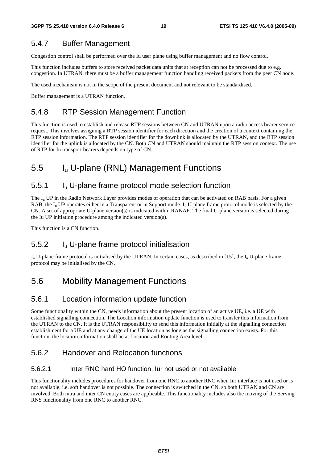### 5.4.7 Buffer Management

Congestion control shall be performed over the Iu user plane using buffer management and no flow control.

This function includes buffers to store received packet data units that at reception can not be processed due to e.g. congestion. In UTRAN, there must be a buffer management function handling received packets from the peer CN node.

The used mechanism is not in the scope of the present document and not relevant to be standardised.

Buffer management is a UTRAN function.

### 5.4.8 RTP Session Management Function

This function is used to establish and release RTP sessions between CN and UTRAN upon a radio access bearer service request. This involves assigning a RTP session identifier for each direction and the creation of a context containing the RTP session information. The RTP session identifier for the downlink is allocated by the UTRAN, and the RTP session identifier for the uplink is allocated by the CN. Both CN and UTRAN should maintain the RTP session context. The use of RTP for Iu transport bearers depends on type of CN.

## 5.5 Iu U-plane (RNL) Management Functions

### 5.5.1 Iu U-plane frame protocol mode selection function

The  $I_{\rm u}$  UP in the Radio Network Layer provides modes of operation that can be activated on RAB basis. For a given RAB, the  $I_{\rm u}$  UP operates either in a Transparent or in Support mode.  $I_{\rm u}$  U-plane frame protocol mode is selected by the CN. A set of appropriate U-plane version(s) is indicated within RANAP. The final U-plane version is selected during the Iu UP initiation procedure among the indicated version(s).

This function is a CN function.

#### 5.5.2 Iu U-plane frame protocol initialisation

 $I_{u}$  U-plane frame protocol is initialised by the UTRAN. In certain cases, as described in [15], the  $I_{u}$  U-plane frame protocol may be initialised by the CN.

### 5.6 Mobility Management Functions

#### 5.6.1 Location information update function

Some functionality within the CN, needs information about the present location of an active UE, i.e. a UE with established signalling connection. The Location information update function is used to transfer this information from the UTRAN to the CN. It is the UTRAN responsibility to send this information initially at the signalling connection establishment for a UE and at any change of the UE location as long as the signalling connection exists. For this function, the location information shall be at Location and Routing Area level.

#### 5.6.2 Handover and Relocation functions

#### 5.6.2.1 Inter RNC hard HO function, Iur not used or not available

This functionality includes procedures for handover from one RNC to another RNC when Iur interface is not used or is not available, i.e. soft handover is not possible. The connection is switched in the CN, so both UTRAN and CN are involved. Both intra and inter CN entity cases are applicable. This functionality includes also the moving of the Serving RNS functionality from one RNC to another RNC.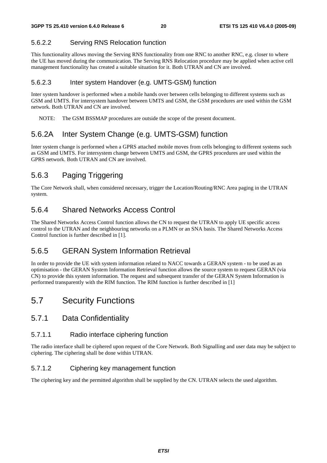#### 5.6.2.2 Serving RNS Relocation function

This functionality allows moving the Serving RNS functionality from one RNC to another RNC, e.g. closer to where the UE has moved during the communication. The Serving RNS Relocation procedure may be applied when active cell management functionality has created a suitable situation for it. Both UTRAN and CN are involved.

#### 5.6.2.3 Inter system Handover (e.g. UMTS-GSM) function

Inter system handover is performed when a mobile hands over between cells belonging to different systems such as GSM and UMTS. For intersystem handover between UMTS and GSM, the GSM procedures are used within the GSM network. Both UTRAN and CN are involved.

NOTE: The GSM BSSMAP procedures are outside the scope of the present document.

### 5.6.2A Inter System Change (e.g. UMTS-GSM) function

Inter system change is performed when a GPRS attached mobile moves from cells belonging to different systems such as GSM and UMTS. For intersystem change between UMTS and GSM, the GPRS procedures are used within the GPRS network. Both UTRAN and CN are involved.

### 5.6.3 Paging Triggering

The Core Network shall, when considered necessary, trigger the Location/Routing/RNC Area paging in the UTRAN system.

#### 5.6.4 Shared Networks Access Control

The Shared Networks Access Control function allows the CN to request the UTRAN to apply UE specific access control to the UTRAN and the neighbouring networks on a PLMN or an SNA basis. The Shared Networks Access Control function is further described in [1].

#### 5.6.5 GERAN System Information Retrieval

In order to provide the UE with system information related to NACC towards a GERAN system - to be used as an optimisation - the GERAN System Information Retrieval function allows the source system to request GERAN (via CN) to provide this system information. The request and subsequent transfer of the GERAN System Information is performed transparently with the RIM function. The RIM function is further described in [1]

### 5.7 Security Functions

#### 5.7.1 Data Confidentiality

#### 5.7.1.1 Radio interface ciphering function

The radio interface shall be ciphered upon request of the Core Network. Both Signalling and user data may be subject to ciphering. The ciphering shall be done within UTRAN.

#### 5.7.1.2 Ciphering key management function

The ciphering key and the permitted algorithm shall be supplied by the CN. UTRAN selects the used algorithm.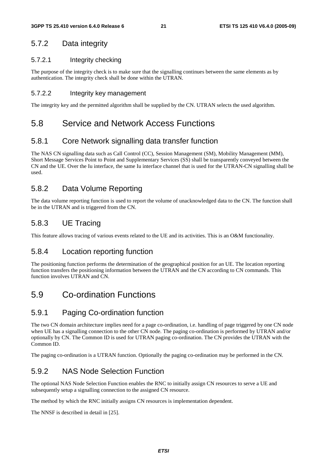#### 5.7.2 Data integrity

#### 5.7.2.1 Integrity checking

The purpose of the integrity check is to make sure that the signalling continues between the same elements as by authentication. The integrity check shall be done within the UTRAN.

#### 5.7.2.2 Integrity key management

The integrity key and the permitted algorithm shall be supplied by the CN. UTRAN selects the used algorithm.

### 5.8 Service and Network Access Functions

#### 5.8.1 Core Network signalling data transfer function

The NAS CN signalling data such as Call Control (CC), Session Management (SM), Mobility Management (MM), Short Message Services Point to Point and Supplementary Services (SS) shall be transparently conveyed between the CN and the UE. Over the Iu interface, the same Iu interface channel that is used for the UTRAN-CN signalling shall be used.

#### 5.8.2 Data Volume Reporting

The data volume reporting function is used to report the volume of unacknowledged data to the CN. The function shall be in the UTRAN and is triggered from the CN.

#### 5.8.3 UE Tracing

This feature allows tracing of various events related to the UE and its activities. This is an O&M functionality.

#### 5.8.4 Location reporting function

The positioning function performs the determination of the geographical position for an UE. The location reporting function transfers the positioning information between the UTRAN and the CN according to CN commands. This function involves UTRAN and CN.

### 5.9 Co-ordination Functions

#### 5.9.1 Paging Co-ordination function

The two CN domain architecture implies need for a page co-ordination, i.e. handling of page triggered by one CN node when UE has a signalling connection to the other CN node. The paging co-ordination is performed by UTRAN and/or optionally by CN. The Common ID is used for UTRAN paging co-ordination. The CN provides the UTRAN with the Common ID.

The paging co-ordination is a UTRAN function. Optionally the paging co-ordination may be performed in the CN.

### 5.9.2 NAS Node Selection Function

The optional NAS Node Selection Function enables the RNC to initially assign CN resources to serve a UE and subsequently setup a signalling connection to the assigned CN resource.

The method by which the RNC initially assigns CN resources is implementation dependent.

The NNSF is described in detail in [25].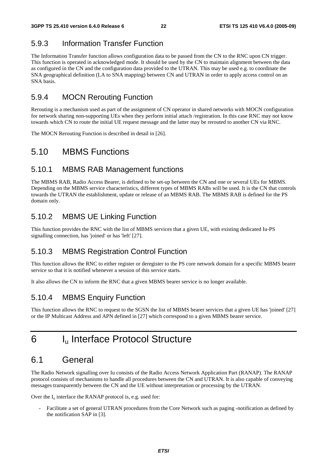### 5.9.3 Information Transfer Function

The Information Transfer function allows configuration data to be passed from the CN to the RNC upon CN trigger. This function is operated in acknowledged mode. It should be used by the CN to maintain alignment between the data as configured in the CN and the configuration data provided to the UTRAN. This may be used e.g. to coordinate the SNA geographical definition (LA to SNA mapping) between CN and UTRAN in order to apply access control on an SNA basis.

#### 5.9.4 MOCN Rerouting Function

Rerouting is a mechanism used as part of the assignment of CN operator in shared networks with MOCN configuration for network sharing non-supporting UEs when they perform initial attach /registration. In this case RNC may not know towards which CN to route the initial UE request message and the latter may be rerouted to another CN via RNC.

The MOCN Rerouting Function is described in detail in [26].

### 5.10 MBMS Functions

#### 5.10.1 MBMS RAB Management functions

The MBMS RAB, Radio Access Bearer, is defined to be set-up between the CN and one or several UEs for MBMS. Depending on the MBMS service characteristics, different types of MBMS RABs will be used. It is the CN that controls towards the UTRAN the establishment, update or release of an MBMS RAB. The MBMS RAB is defined for the PS domain only.

### 5.10.2 MBMS UE Linking Function

This function provides the RNC with the list of MBMS services that a given UE, with existing dedicated Iu-PS signalling connection, has 'joined' or has 'left' [27].

#### 5.10.3 MBMS Registration Control Function

This function allows the RNC to either register or deregister to the PS core network domain for a specific MBMS bearer service so that it is notified whenever a session of this service starts.

It also allows the CN to inform the RNC that a given MBMS bearer service is no longer available.

#### 5.10.4 MBMS Enquiry Function

This function allows the RNC to request to the SGSN the list of MBMS bearer services that a given UE has 'joined' [27] or the IP Multicast Address and APN defined in [27] which correspond to a given MBMS bearer service.

## 6 Iu Interface Protocol Structure

### 6.1 General

The Radio Network signalling over Iu consists of the Radio Access Network Application Part (RANAP). The RANAP protocol consists of mechanisms to handle all procedures between the CN and UTRAN. It is also capable of conveying messages transparently between the CN and the UE without interpretation or processing by the UTRAN.

Over the  $I_u$  interface the RANAP protocol is, e.g. used for:

- Facilitate a set of general UTRAN procedures from the Core Network such as paging -notification as defined by the notification SAP in [3].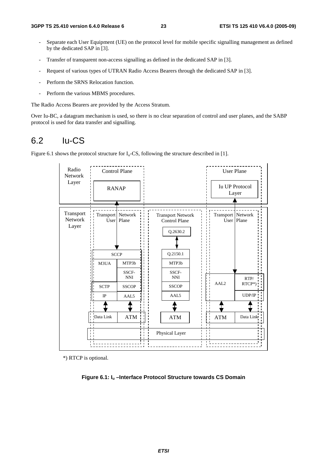- Separate each User Equipment (UE) on the protocol level for mobile specific signalling management as defined by the dedicated SAP in [3].
- Transfer of transparent non-access signalling as defined in the dedicated SAP in [3].
- Request of various types of UTRAN Radio Access Bearers through the dedicated SAP in [3].
- Perform the SRNS Relocation function.
- Perform the various MBMS procedures.

The Radio Access Bearers are provided by the Access Stratum.

Over Iu-BC, a datagram mechanism is used, so there is no clear separation of control and user planes, and the SABP protocol is used for data transfer and signalling.

### 6.2 Iu-CS

Figure 6.1 shows the protocol structure for  $I_u$ -CS, following the structure described in [1].



\*) RTCP is optional.

**Figure 6.1: Iu –Interface Protocol Structure towards CS Domain**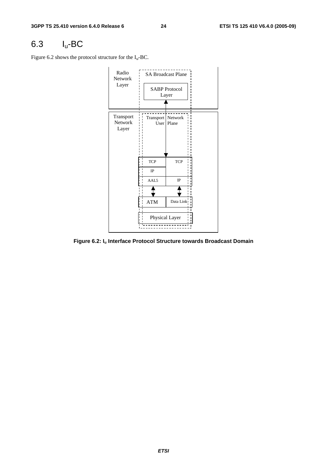## 6.3 Iu-BC

Figure 6.2 shows the protocol structure for the  $I_u$ -BC.



**Figure 6.2: Iu Interface Protocol Structure towards Broadcast Domain**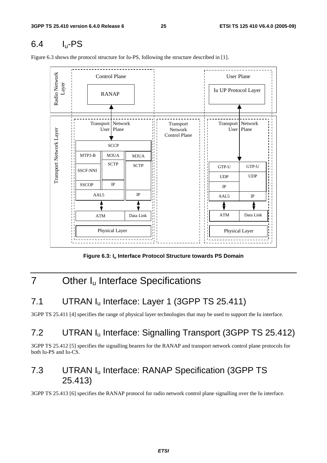## 6.4 Iu-PS

Figure 6.3 shows the protocol structure for Iu-PS, following the structure described in [1].



Figure 6.3: I<sub>u</sub> Interface Protocol Structure towards PS Domain

## 7 Other I<sub>u</sub> Interface Specifications

## 7.1 UTRAN I<sub>u</sub> Interface: Layer 1 (3GPP TS 25.411)

3GPP TS 25.411 [4] specifies the range of physical layer technologies that may be used to support the Iu interface.

## 7.2 UTRAN Iu Interface: Signalling Transport (3GPP TS 25.412)

3GPP TS 25.412 [5] specifies the signalling bearers for the RANAP and transport network control plane protocols for both Iu-PS and Iu-CS.

### 7.3 UTRAN Iu Interface: RANAP Specification (3GPP TS 25.413)

3GPP TS 25.413 [6] specifies the RANAP protocol for radio network control plane signalling over the Iu interface.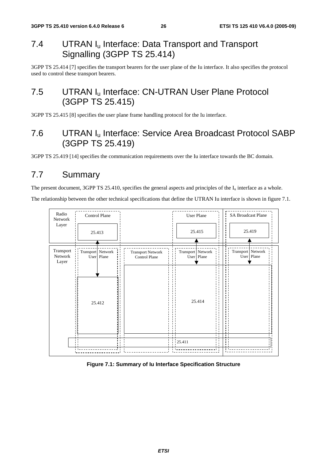### 7.4 UTRAN I<sub>u</sub> Interface: Data Transport and Transport Signalling (3GPP TS 25.414)

3GPP TS 25.414 [7] specifies the transport bearers for the user plane of the Iu interface. It also specifies the protocol used to control these transport bearers.

### 7.5 UTRAN I<sub>u</sub> Interface: CN-UTRAN User Plane Protocol (3GPP TS 25.415)

3GPP TS 25.415 [8] specifies the user plane frame handling protocol for the Iu interface.

### 7.6 UTRAN Iu Interface: Service Area Broadcast Protocol SABP (3GPP TS 25.419)

3GPP TS 25.419 [14] specifies the communication requirements over the Iu interface towards the BC domain.

## 7.7 Summary

The present document, 3GPP TS 25.410, specifies the general aspects and principles of the  $I_u$  interface as a whole.

The relationship between the other technical specifications that define the UTRAN Iu interface is shown in figure 7.1.



#### **Figure 7.1: Summary of Iu Interface Specification Structure**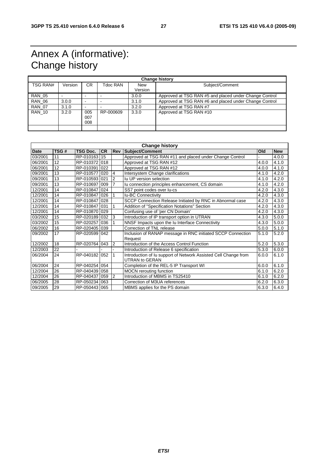## Annex A (informative): Change history

| <b>Change history</b> |         |                          |           |                       |                                                        |  |
|-----------------------|---------|--------------------------|-----------|-----------------------|--------------------------------------------------------|--|
| <b>TSG RAN#</b>       | Version | CR.                      | Tdoc RAN  | <b>New</b><br>Version | Subject/Comment                                        |  |
|                       |         |                          |           |                       |                                                        |  |
| <b>RAN 05</b>         |         |                          |           | 3.0.0                 | Approved at TSG RAN #5 and placed under Change Control |  |
| <b>RAN 06</b>         | 3.0.0   | $\overline{\phantom{a}}$ |           | 3.1.0                 | Approved at TSG RAN #6 and placed under Change Control |  |
| <b>RAN 07</b>         | 3.1.0   |                          |           | 3.2.0                 | Approved at TSG RAN #7                                 |  |
| <b>RAN 10</b>         | 3.2.0   | 005<br>007<br>008        | RP-000609 | 3.3.0                 | Approved at TSG RAN #10                                |  |
|                       |         |                          |           |                       |                                                        |  |

| <b>Change history</b> |      |                 |           |                |                                                                 |       |            |
|-----------------------|------|-----------------|-----------|----------------|-----------------------------------------------------------------|-------|------------|
| <b>Date</b>           | TSG# | <b>TSG Doc.</b> | <b>CR</b> |                | <b>Rev Subject/Comment</b>                                      | Old   | <b>New</b> |
| 03/2001               | 11   | RP-010163       | 15        |                | Approved at TSG RAN #11 and placed under Change Control         |       | 4.0.0      |
| 06/2001               | 12   | RP-010372 018   |           |                | Approved at TSG RAN #12                                         | 4.0.0 | 4.1.0      |
| 06/2001               | 12   | RP-010391       | 022       |                | Approved at TSG RAN #12                                         | 4.0.0 | 4.1.0      |
| 09/2001               | 13   | RP-010577       | 020       | 4              | Intersystem Change clarifications                               | 4.1.0 | 4.2.0      |
| 09/2001               | 13   | RP-010593       | 021       | $\overline{2}$ | Iu UP version selection                                         | 4.1.0 | 4.2.0      |
| 09/2001               | 13   | RP-010697 009   |           | 7              | Iu connection principles enhancement, CS domain                 | 4.1.0 | 4.2.0      |
| 12/2001               | 14   | RP-010847       | 024       |                | SS7 point codes over lu-cs                                      | 4.2.0 | 4.3.0      |
| 12/2001               | 14   | RP-010847       | 026       |                | <b>Iu-BC Connectivity</b>                                       | 4.2.0 | 4.3.0      |
| 12/2001               | 14   | RP-010847       | 028       |                | SCCP Connection Release Initiated by RNC in Abnormal case       | 4.2.0 | 4.3.0      |
| 12/2001               | 14   | RP-010847 031   |           |                | Addition of "Specification Notations" Section                   | 4.2.0 | 4.3.0      |
| 12/2001               | 14   | RP-010870 029   |           |                | Confusing use of 'per CN Domain'                                | 4.2.0 | 4.3.0      |
| 03/2002               | 15   | RP-020189 032   |           | 3              | Introduction of IP transport option in UTRAN                    | 4.3.0 | 5.0.0      |
| 03/2002               | 15   | RP-020257       | 036       |                | NNSF Impacts upon the Iu Interface Connectivity                 | 4.3.0 | 5.0.0      |
| 06/2002               | 16   | RP-020405 039   |           |                | Correction of TNL release                                       | 5.0.0 | 5.1.0      |
| 09/2002               | 17   | RP-020599 042   |           |                | Inclusion of RANAP message in RNC initiated SCCP Connection     | 5.1.0 | 5.2.0      |
|                       |      |                 |           |                | Request                                                         |       |            |
| 12/2002               | 18   | RP-020764       | 043       | 2              | Introduction of the Access Control Function                     | 5.2.0 | 5.3.0      |
| 12/2003               | 22   |                 |           |                | Introduction of Release 6 specification                         | 5.3.0 | 6.0.0      |
| 06/2004               | 24   | RP-040182       | 052       |                | Introduction of Iu support of Network Assisted Cell Change from | 6.0.0 | 6.1.0      |
|                       |      |                 |           |                | <b>UTRAN to GERAN</b>                                           |       |            |
| 06/2004               | 24   | RP-040254 054   |           |                | Completion of the REL-5 IP Transport WI                         | 6.0.0 | 6.1.0      |
| 12/2004               | 26   | RP-040439       | 058       |                | <b>MOCN</b> rerouting function                                  | 6.1.0 | 6.2.0      |
| 12/2004               | 26   | RP-040437       | 059       | 2              | Introduction of MBMS in TS25410                                 | 6.1.0 | 6.2.0      |
| 06/2005               | 28   | RP-050234       | 063       |                | Correction of M3UA references                                   | 6.2.0 | 6.3.0      |
| 09/2005               | 29   | RP-050443 065   |           |                | MBMS applies for the PS domain                                  | 6.3.0 | 6.4.0      |